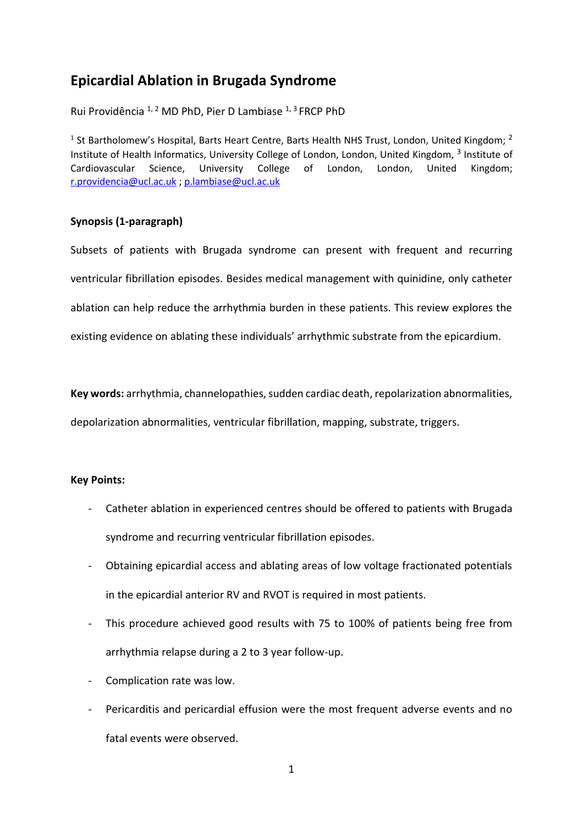# **Epicardial Ablation in Brugada Syndrome**

Rui Providência <sup>1, 2</sup> MD PhD, Pier D Lambiase <sup>1, 3</sup> FRCP PhD

<sup>1</sup> St Bartholomew's Hospital, Barts Heart Centre, Barts Health NHS Trust, London, United Kingdom; <sup>2</sup> Institute of Health Informatics, University College of London, London, United Kingdom, <sup>3</sup> Institute of Cardiovascular Science, University College of London, London, United Kingdom; [r.providencia@ucl.ac.uk](mailto:r.providencia@ucl.ac.uk) ; [p.lambiase@ucl.ac.uk](mailto:p.lambiase@ucl.ac.uk)

# **Synopsis (1-paragraph)**

Subsets of patients with Brugada syndrome can present with frequent and recurring ventricular fibrillation episodes. Besides medical management with quinidine, only catheter ablation can help reduce the arrhythmia burden in these patients. This review explores the existing evidence on ablating these individuals' arrhythmic substrate from the epicardium.

**Key words:** arrhythmia, channelopathies, sudden cardiac death, repolarization abnormalities, depolarization abnormalities, ventricular fibrillation, mapping, substrate, triggers.

# **Key Points:**

- Catheter ablation in experienced centres should be offered to patients with Brugada syndrome and recurring ventricular fibrillation episodes.
- Obtaining epicardial access and ablating areas of low voltage fractionated potentials in the epicardial anterior RV and RVOT is required in most patients.
- This procedure achieved good results with 75 to 100% of patients being free from arrhythmia relapse during a 2 to 3 year follow-up.
- Complication rate was low.
- Pericarditis and pericardial effusion were the most frequent adverse events and no fatal events were observed.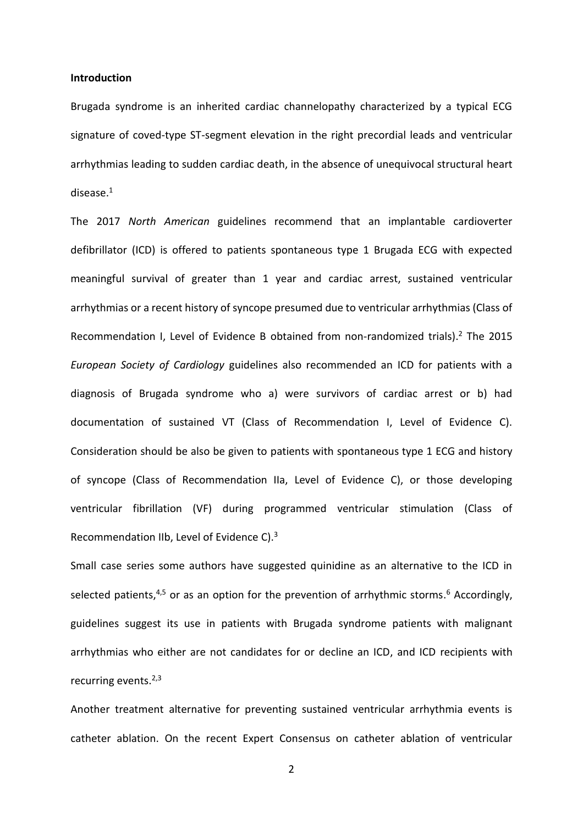#### **Introduction**

Brugada syndrome is an inherited cardiac channelopathy characterized by a typical ECG signature of coved-type ST-segment elevation in the right precordial leads and ventricular arrhythmias leading to sudden cardiac death, in the absence of unequivocal structural heart disease. 1

The 2017 *North American* guidelines recommend that an implantable cardioverter defibrillator (ICD) is offered to patients spontaneous type 1 Brugada ECG with expected meaningful survival of greater than 1 year and cardiac arrest, sustained ventricular arrhythmias or a recent history of syncope presumed due to ventricular arrhythmias (Class of Recommendation I, Level of Evidence B obtained from non-randomized trials). <sup>2</sup> The 2015 *European Society of Cardiology* guidelines also recommended an ICD for patients with a diagnosis of Brugada syndrome who a) were survivors of cardiac arrest or b) had documentation of sustained VT (Class of Recommendation I, Level of Evidence C). Consideration should be also be given to patients with spontaneous type 1 ECG and history of syncope (Class of Recommendation IIa, Level of Evidence C), or those developing ventricular fibrillation (VF) during programmed ventricular stimulation (Class of Recommendation IIb, Level of Evidence C).<sup>3</sup>

Small case series some authors have suggested quinidine as an alternative to the ICD in selected patients,<sup>4,5</sup> or as an option for the prevention of arrhythmic storms.<sup>6</sup> Accordingly, guidelines suggest its use in patients with Brugada syndrome patients with malignant arrhythmias who either are not candidates for or decline an ICD, and ICD recipients with recurring events.<sup>2,3</sup>

Another treatment alternative for preventing sustained ventricular arrhythmia events is catheter ablation. On the recent Expert Consensus on catheter ablation of ventricular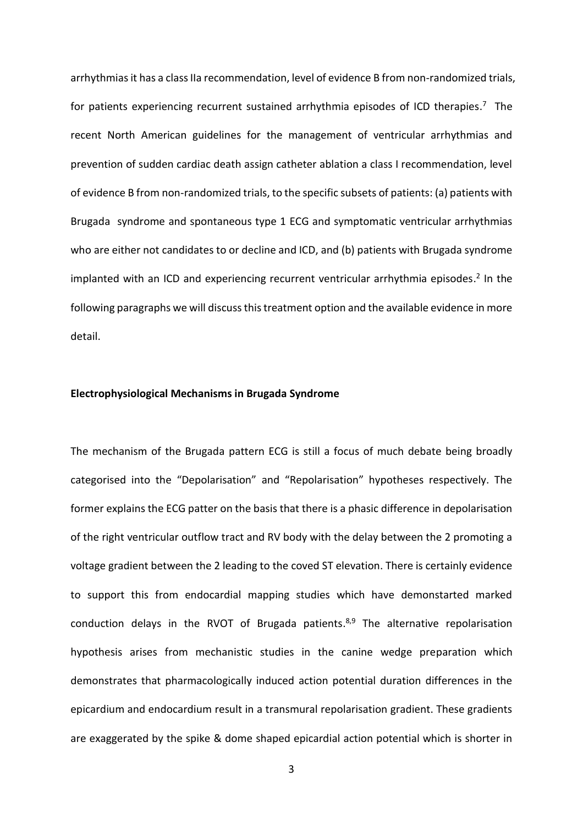arrhythmias it has a class IIa recommendation, level of evidence B from non-randomized trials, for patients experiencing recurrent sustained arrhythmia episodes of ICD therapies. <sup>7</sup> The recent North American guidelines for the management of ventricular arrhythmias and prevention of sudden cardiac death assign catheter ablation a class I recommendation, level of evidence B from non-randomized trials, to the specific subsets of patients: (a) patients with Brugada syndrome and spontaneous type 1 ECG and symptomatic ventricular arrhythmias who are either not candidates to or decline and ICD, and (b) patients with Brugada syndrome implanted with an ICD and experiencing recurrent ventricular arrhythmia episodes.<sup>2</sup> In the following paragraphs we will discuss this treatment option and the available evidence in more detail.

### **Electrophysiological Mechanisms in Brugada Syndrome**

The mechanism of the Brugada pattern ECG is still a focus of much debate being broadly categorised into the "Depolarisation" and "Repolarisation" hypotheses respectively. The former explains the ECG patter on the basis that there is a phasic difference in depolarisation of the right ventricular outflow tract and RV body with the delay between the 2 promoting a voltage gradient between the 2 leading to the coved ST elevation. There is certainly evidence to support this from endocardial mapping studies which have demonstarted marked conduction delays in the RVOT of Brugada patients. 8,9 The alternative repolarisation hypothesis arises from mechanistic studies in the canine wedge preparation which demonstrates that pharmacologically induced action potential duration differences in the epicardium and endocardium result in a transmural repolarisation gradient. These gradients are exaggerated by the spike & dome shaped epicardial action potential which is shorter in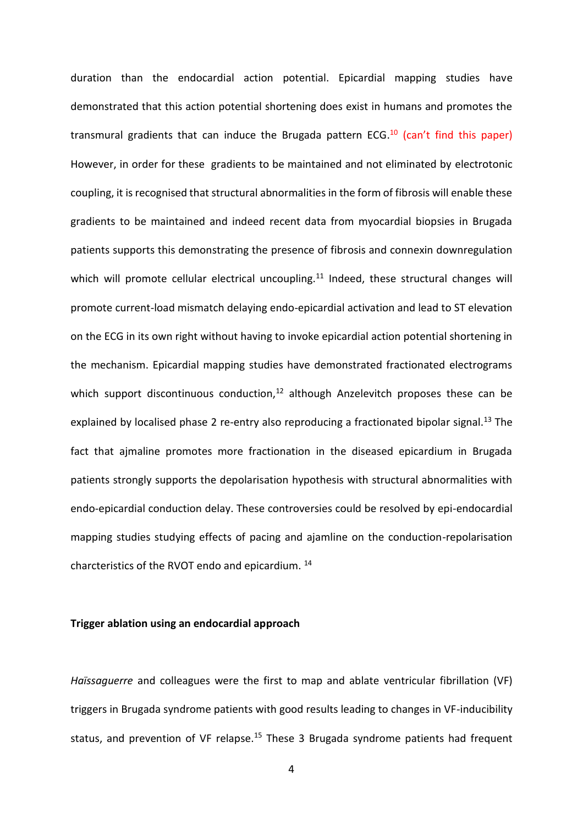duration than the endocardial action potential. Epicardial mapping studies have demonstrated that this action potential shortening does exist in humans and promotes the transmural gradients that can induce the Brugada pattern ECG.<sup>10</sup> (can't find this paper) However, in order for these gradients to be maintained and not eliminated by electrotonic coupling, it is recognised that structural abnormalities in the form of fibrosis will enable these gradients to be maintained and indeed recent data from myocardial biopsies in Brugada patients supports this demonstrating the presence of fibrosis and connexin downregulation which will promote cellular electrical uncoupling.<sup>11</sup> Indeed, these structural changes will promote current-load mismatch delaying endo-epicardial activation and lead to ST elevation on the ECG in its own right without having to invoke epicardial action potential shortening in the mechanism. Epicardial mapping studies have demonstrated fractionated electrograms which support discontinuous conduction, $12$  although Anzelevitch proposes these can be explained by localised phase 2 re-entry also reproducing a fractionated bipolar signal.<sup>13</sup> The fact that ajmaline promotes more fractionation in the diseased epicardium in Brugada patients strongly supports the depolarisation hypothesis with structural abnormalities with endo-epicardial conduction delay. These controversies could be resolved by epi-endocardial mapping studies studying effects of pacing and ajamline on the conduction-repolarisation charcteristics of the RVOT endo and epicardium. <sup>14</sup>

#### **Trigger ablation using an endocardial approach**

*Haïssaguerre* and colleagues were the first to map and ablate ventricular fibrillation (VF) triggers in Brugada syndrome patients with good results leading to changes in VF-inducibility status, and prevention of VF relapse. $15$  These 3 Brugada syndrome patients had frequent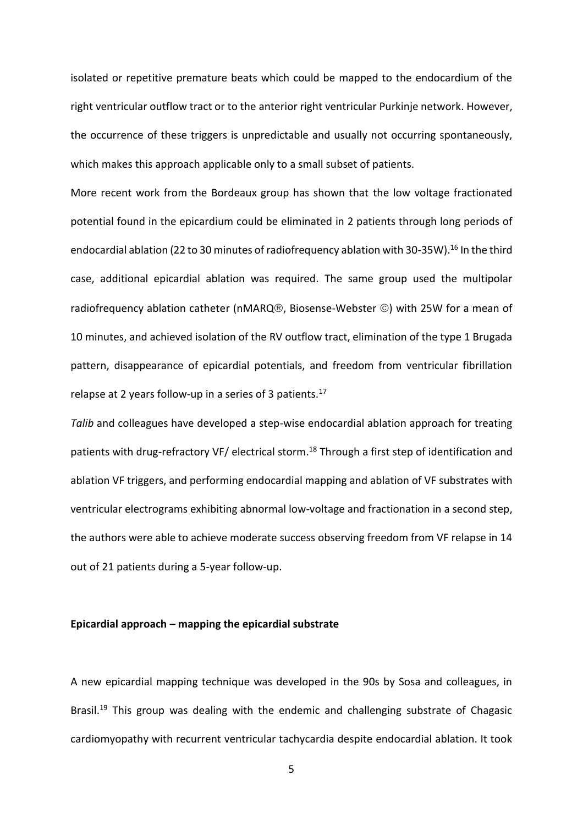isolated or repetitive premature beats which could be mapped to the endocardium of the right ventricular outflow tract or to the anterior right ventricular Purkinje network. However, the occurrence of these triggers is unpredictable and usually not occurring spontaneously, which makes this approach applicable only to a small subset of patients.

More recent work from the Bordeaux group has shown that the low voltage fractionated potential found in the epicardium could be eliminated in 2 patients through long periods of endocardial ablation (22 to 30 minutes of radiofrequency ablation with 30-35W).<sup>16</sup> In the third case, additional epicardial ablation was required. The same group used the multipolar radiofrequency ablation catheter (nMARQ®, Biosense-Webster  $\circledcirc$ ) with 25W for a mean of 10 minutes, and achieved isolation of the RV outflow tract, elimination of the type 1 Brugada pattern, disappearance of epicardial potentials, and freedom from ventricular fibrillation relapse at 2 years follow-up in a series of 3 patients.<sup>17</sup>

*Talib* and colleagues have developed a step-wise endocardial ablation approach for treating patients with drug-refractory VF/ electrical storm.<sup>18</sup> Through a first step of identification and ablation VF triggers, and performing endocardial mapping and ablation of VF substrates with ventricular electrograms exhibiting abnormal low-voltage and fractionation in a second step, the authors were able to achieve moderate success observing freedom from VF relapse in 14 out of 21 patients during a 5-year follow-up.

#### **Epicardial approach – mapping the epicardial substrate**

A new epicardial mapping technique was developed in the 90s by Sosa and colleagues, in Brasil.<sup>19</sup> This group was dealing with the endemic and challenging substrate of Chagasic cardiomyopathy with recurrent ventricular tachycardia despite endocardial ablation. It took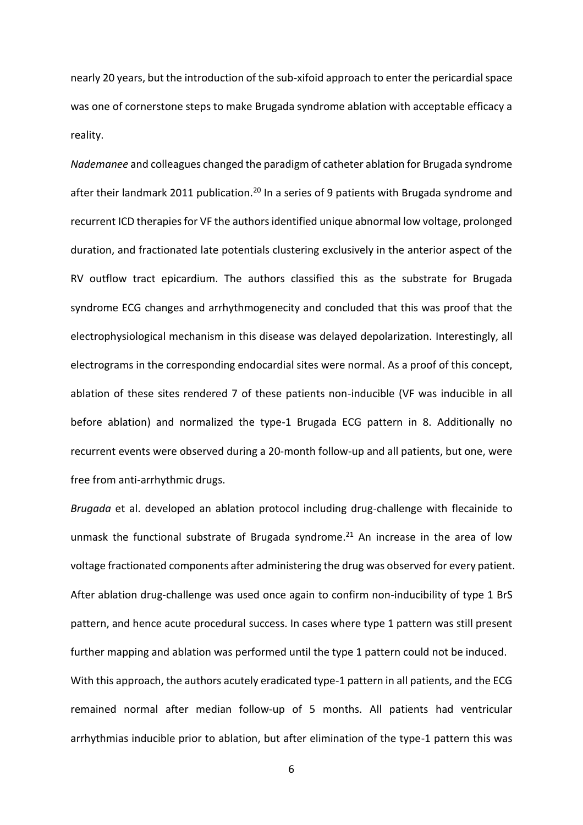nearly 20 years, but the introduction of the sub-xifoid approach to enter the pericardial space was one of cornerstone steps to make Brugada syndrome ablation with acceptable efficacy a reality.

*Nademanee* and colleagues changed the paradigm of catheter ablation for Brugada syndrome after their landmark 2011 publication.<sup>20</sup> In a series of 9 patients with Brugada syndrome and recurrent ICD therapies for VF the authors identified unique abnormal low voltage, prolonged duration, and fractionated late potentials clustering exclusively in the anterior aspect of the RV outflow tract epicardium. The authors classified this as the substrate for Brugada syndrome ECG changes and arrhythmogenecity and concluded that this was proof that the electrophysiological mechanism in this disease was delayed depolarization. Interestingly, all electrograms in the corresponding endocardial sites were normal. As a proof of this concept, ablation of these sites rendered 7 of these patients non-inducible (VF was inducible in all before ablation) and normalized the type-1 Brugada ECG pattern in 8. Additionally no recurrent events were observed during a 20-month follow-up and all patients, but one, were free from anti-arrhythmic drugs.

*Brugada* et al. developed an ablation protocol including drug-challenge with flecainide to unmask the functional substrate of Brugada syndrome. <sup>21</sup> An increase in the area of low voltage fractionated components after administering the drug was observed for every patient. After ablation drug-challenge was used once again to confirm non-inducibility of type 1 BrS pattern, and hence acute procedural success. In cases where type 1 pattern was still present further mapping and ablation was performed until the type 1 pattern could not be induced. With this approach, the authors acutely eradicated type-1 pattern in all patients, and the ECG remained normal after median follow-up of 5 months. All patients had ventricular arrhythmias inducible prior to ablation, but after elimination of the type-1 pattern this was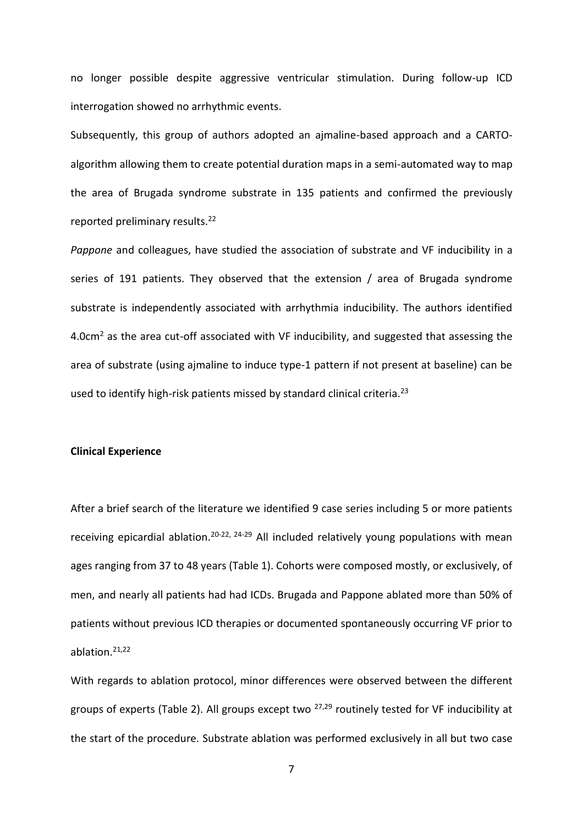no longer possible despite aggressive ventricular stimulation. During follow-up ICD interrogation showed no arrhythmic events.

Subsequently, this group of authors adopted an ajmaline-based approach and a CARTOalgorithm allowing them to create potential duration maps in a semi-automated way to map the area of Brugada syndrome substrate in 135 patients and confirmed the previously reported preliminary results.<sup>22</sup>

*Pappone* and colleagues, have studied the association of substrate and VF inducibility in a series of 191 patients. They observed that the extension / area of Brugada syndrome substrate is independently associated with arrhythmia inducibility. The authors identified 4.0cm<sup>2</sup> as the area cut-off associated with VF inducibility, and suggested that assessing the area of substrate (using ajmaline to induce type-1 pattern if not present at baseline) can be used to identify high-risk patients missed by standard clinical criteria.<sup>23</sup>

#### **Clinical Experience**

After a brief search of the literature we identified 9 case series including 5 or more patients receiving epicardial ablation.<sup>20-22, 24-29</sup> All included relatively young populations with mean ages ranging from 37 to 48 years (Table 1). Cohorts were composed mostly, or exclusively, of men, and nearly all patients had had ICDs. Brugada and Pappone ablated more than 50% of patients without previous ICD therapies or documented spontaneously occurring VF prior to ablation.21,22

With regards to ablation protocol, minor differences were observed between the different groups of experts (Table 2). All groups except two 27,29 routinely tested for VF inducibility at the start of the procedure. Substrate ablation was performed exclusively in all but two case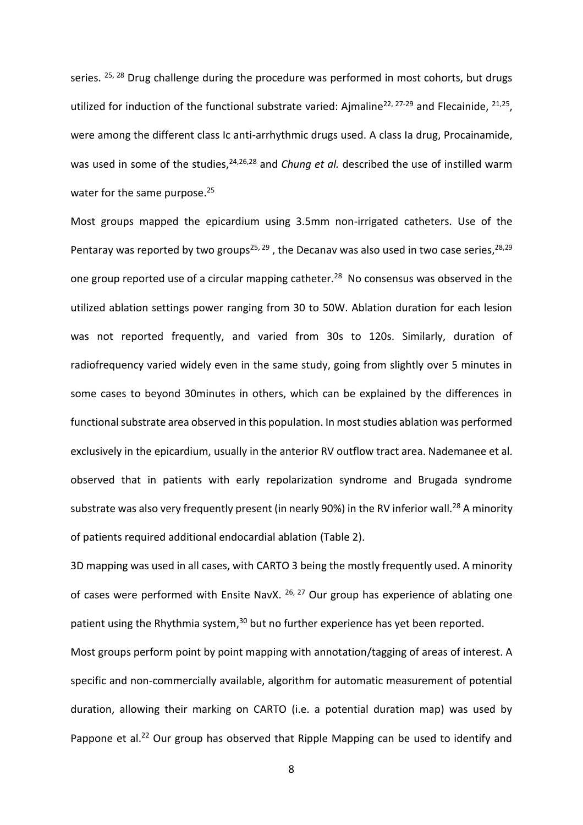series. <sup>25, 28</sup> Drug challenge during the procedure was performed in most cohorts, but drugs utilized for induction of the functional substrate varied: Ajmaline<sup>22, 27-29</sup> and Flecainide,  $21,25$ , were among the different class Ic anti-arrhythmic drugs used. A class Ia drug, Procainamide, was used in some of the studies,<sup>24,26,28</sup> and *Chung et al.* described the use of instilled warm water for the same purpose.<sup>25</sup>

Most groups mapped the epicardium using 3.5mm non-irrigated catheters. Use of the Pentaray was reported by two groups<sup>25, 29</sup>, the Decanav was also used in two case series,  $28,29$ one group reported use of a circular mapping catheter.<sup>28</sup> No consensus was observed in the utilized ablation settings power ranging from 30 to 50W. Ablation duration for each lesion was not reported frequently, and varied from 30s to 120s. Similarly, duration of radiofrequency varied widely even in the same study, going from slightly over 5 minutes in some cases to beyond 30minutes in others, which can be explained by the differences in functional substrate area observed in this population. In most studies ablation was performed exclusively in the epicardium, usually in the anterior RV outflow tract area. Nademanee et al. observed that in patients with early repolarization syndrome and Brugada syndrome substrate was also very frequently present (in nearly 90%) in the RV inferior wall.<sup>28</sup> A minority of patients required additional endocardial ablation (Table 2).

3D mapping was used in all cases, with CARTO 3 being the mostly frequently used. A minority of cases were performed with Ensite NavX. <sup>26, 27</sup> Our group has experience of ablating one patient using the Rhythmia system,<sup>30</sup> but no further experience has yet been reported.

Most groups perform point by point mapping with annotation/tagging of areas of interest. A specific and non-commercially available, algorithm for automatic measurement of potential duration, allowing their marking on CARTO (i.e. a potential duration map) was used by Pappone et al.<sup>22</sup> Our group has observed that Ripple Mapping can be used to identify and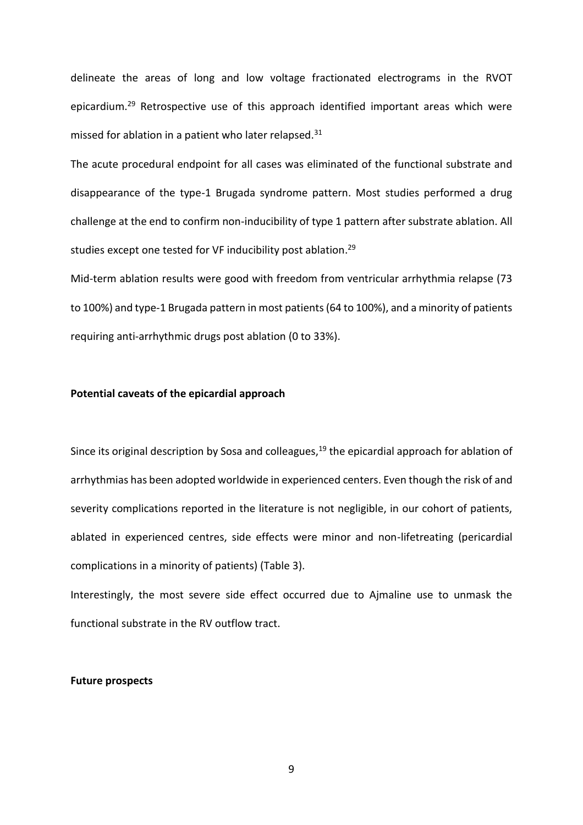delineate the areas of long and low voltage fractionated electrograms in the RVOT epicardium.<sup>29</sup> Retrospective use of this approach identified important areas which were missed for ablation in a patient who later relapsed.<sup>31</sup>

The acute procedural endpoint for all cases was eliminated of the functional substrate and disappearance of the type-1 Brugada syndrome pattern. Most studies performed a drug challenge at the end to confirm non-inducibility of type 1 pattern after substrate ablation. All studies except one tested for VF inducibility post ablation. 29

Mid-term ablation results were good with freedom from ventricular arrhythmia relapse (73 to 100%) and type-1 Brugada pattern in most patients (64 to 100%), and a minority of patients requiring anti-arrhythmic drugs post ablation (0 to 33%).

## **Potential caveats of the epicardial approach**

Since its original description by Sosa and colleagues, $19$  the epicardial approach for ablation of arrhythmias has been adopted worldwide in experienced centers. Even though the risk of and severity complications reported in the literature is not negligible, in our cohort of patients, ablated in experienced centres, side effects were minor and non-lifetreating (pericardial complications in a minority of patients) (Table 3).

Interestingly, the most severe side effect occurred due to Ajmaline use to unmask the functional substrate in the RV outflow tract.

#### **Future prospects**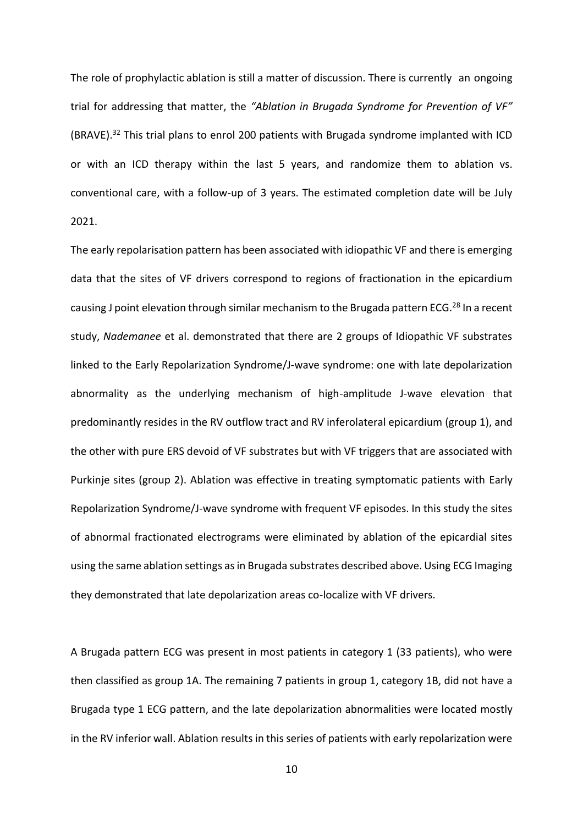The role of prophylactic ablation is still a matter of discussion. There is currently an ongoing trial for addressing that matter, the *"Ablation in Brugada Syndrome for Prevention of VF"* (BRAVE).<sup>32</sup> This trial plans to enrol 200 patients with Brugada syndrome implanted with ICD or with an ICD therapy within the last 5 years, and randomize them to ablation vs. conventional care, with a follow-up of 3 years. The estimated completion date will be July 2021.

The early repolarisation pattern has been associated with idiopathic VF and there is emerging data that the sites of VF drivers correspond to regions of fractionation in the epicardium causing J point elevation through similar mechanism to the Brugada pattern ECG.<sup>28</sup> In a recent study, *Nademanee* et al. demonstrated that there are 2 groups of Idiopathic VF substrates linked to the Early Repolarization Syndrome/J-wave syndrome: one with late depolarization abnormality as the underlying mechanism of high-amplitude J-wave elevation that predominantly resides in the RV outflow tract and RV inferolateral epicardium (group 1), and the other with pure ERS devoid of VF substrates but with VF triggers that are associated with Purkinje sites (group 2). Ablation was effective in treating symptomatic patients with Early Repolarization Syndrome/J-wave syndrome with frequent VF episodes. In this study the sites of abnormal fractionated electrograms were eliminated by ablation of the epicardial sites using the same ablation settings as in Brugada substrates described above. Using ECG Imaging they demonstrated that late depolarization areas co-localize with VF drivers.

A Brugada pattern ECG was present in most patients in category 1 (33 patients), who were then classified as group 1A. The remaining 7 patients in group 1, category 1B, did not have a Brugada type 1 ECG pattern, and the late depolarization abnormalities were located mostly in the RV inferior wall. Ablation results in this series of patients with early repolarization were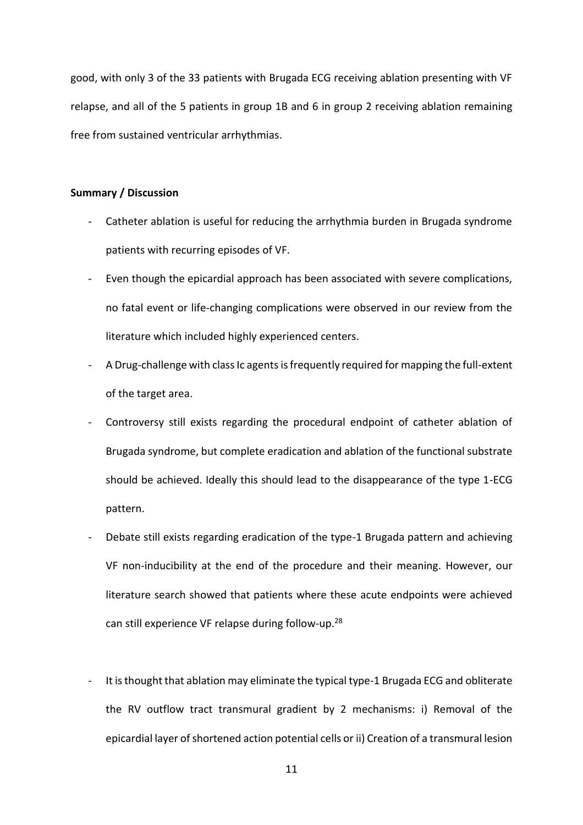good, with only 3 of the 33 patients with Brugada ECG receiving ablation presenting with VF relapse, and all of the 5 patients in group 1B and 6 in group 2 receiving ablation remaining free from sustained ventricular arrhythmias.

# **Summary / Discussion**

- Catheter ablation is useful for reducing the arrhythmia burden in Brugada syndrome patients with recurring episodes of VF.
- Even though the epicardial approach has been associated with severe complications, no fatal event or life-changing complications were observed in our review from the literature which included highly experienced centers.
- A Drug-challenge with class Ic agents is frequently required for mapping the full-extent of the target area.
- Controversy still exists regarding the procedural endpoint of catheter ablation of Brugada syndrome, but complete eradication and ablation of the functional substrate should be achieved. Ideally this should lead to the disappearance of the type 1-ECG pattern.
- Debate still exists regarding eradication of the type-1 Brugada pattern and achieving VF non-inducibility at the end of the procedure and their meaning. However, our literature search showed that patients where these acute endpoints were achieved can still experience VF relapse during follow-up.<sup>28</sup>
- It is thought that ablation may eliminate the typical type-1 Brugada ECG and obliterate the RV outflow tract transmural gradient by 2 mechanisms: i) Removal of the epicardial layer of shortened action potential cells or ii) Creation of a transmural lesion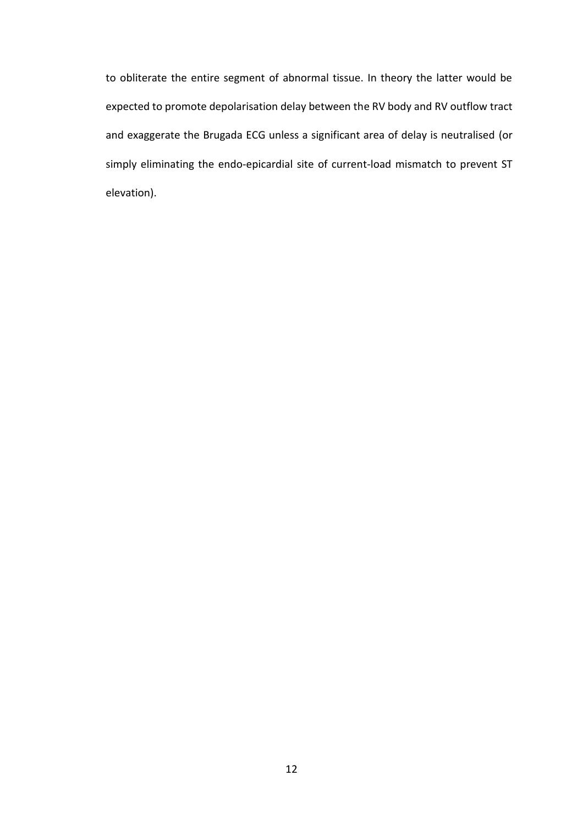to obliterate the entire segment of abnormal tissue. In theory the latter would be expected to promote depolarisation delay between the RV body and RV outflow tract and exaggerate the Brugada ECG unless a significant area of delay is neutralised (or simply eliminating the endo-epicardial site of current-load mismatch to prevent ST elevation).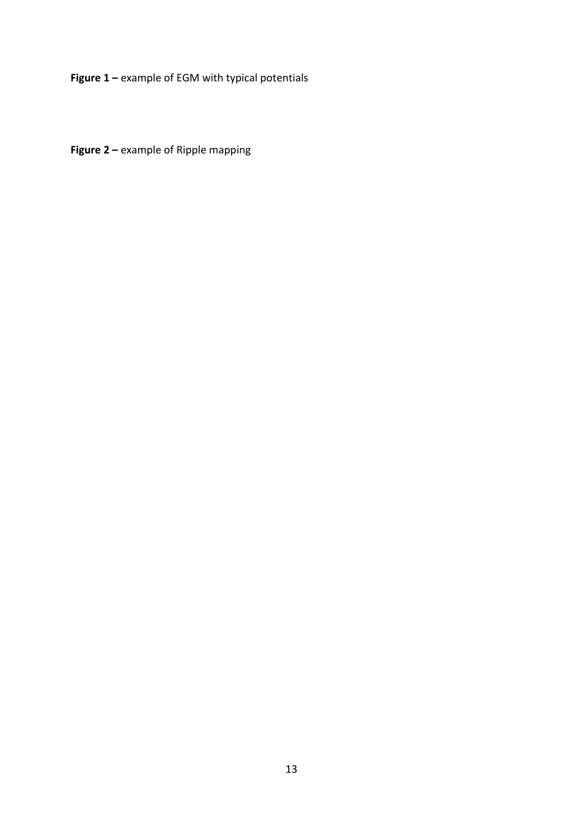**Figure 1 –** example of EGM with typical potentials

**Figure 2 –** example of Ripple mapping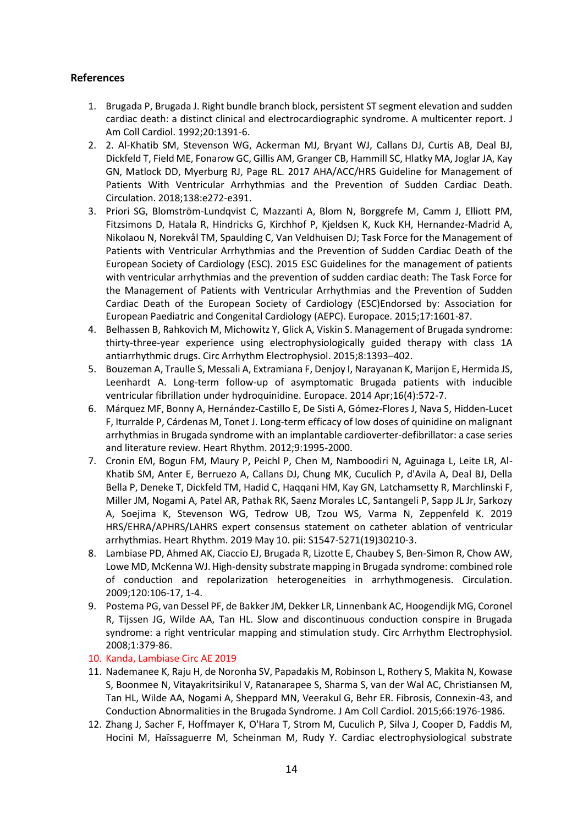# **References**

- 1. Brugada P, Brugada J. Right bundle branch block, persistent ST segment elevation and sudden cardiac death: a distinct clinical and electrocardiographic syndrome. A multicenter report. J Am Coll Cardiol. 1992;20:1391-6.
- 2. 2. Al-Khatib SM, Stevenson WG, Ackerman MJ, Bryant WJ, Callans DJ, Curtis AB, Deal BJ, Dickfeld T, Field ME, Fonarow GC, Gillis AM, Granger CB, Hammill SC, Hlatky MA, Joglar JA, Kay GN, Matlock DD, Myerburg RJ, Page RL. 2017 AHA/ACC/HRS Guideline for Management of Patients With Ventricular Arrhythmias and the Prevention of Sudden Cardiac Death. Circulation. 2018;138:e272-e391.
- 3. Priori SG, Blomström-Lundqvist C, Mazzanti A, Blom N, Borggrefe M, Camm J, Elliott PM, Fitzsimons D, Hatala R, Hindricks G, Kirchhof P, Kjeldsen K, Kuck KH, Hernandez-Madrid A, Nikolaou N, Norekvål TM, Spaulding C, Van Veldhuisen DJ; Task Force for the Management of Patients with Ventricular Arrhythmias and the Prevention of Sudden Cardiac Death of the European Society of Cardiology (ESC). 2015 ESC Guidelines for the management of patients with ventricular arrhythmias and the prevention of sudden cardiac death: The Task Force for the Management of Patients with Ventricular Arrhythmias and the Prevention of Sudden Cardiac Death of the European Society of Cardiology (ESC)Endorsed by: Association for European Paediatric and Congenital Cardiology (AEPC). Europace. 2015;17:1601-87.
- 4. Belhassen B, Rahkovich M, Michowitz Y, Glick A, Viskin S. Management of Brugada syndrome: thirty-three-year experience using electrophysiologically guided therapy with class 1A antiarrhythmic drugs. Circ Arrhythm Electrophysiol. 2015;8:1393–402.
- 5. Bouzeman A, Traulle S, Messali A, Extramiana F, Denjoy I, Narayanan K, Marijon E, Hermida JS, Leenhardt A. Long-term follow-up of asymptomatic Brugada patients with inducible ventricular fibrillation under hydroquinidine. Europace. 2014 Apr;16(4):572-7.
- 6. Márquez MF, Bonny A, Hernández-Castillo E, De Sisti A, Gómez-Flores J, Nava S, Hidden-Lucet F, Iturralde P, Cárdenas M, Tonet J. Long-term efficacy of low doses of quinidine on malignant arrhythmias in Brugada syndrome with an implantable cardioverter-defibrillator: a case series and literature review. Heart Rhythm. 2012;9:1995-2000.
- 7. Cronin EM, Bogun FM, Maury P, Peichl P, Chen M, Namboodiri N, Aguinaga L, Leite LR, Al-Khatib SM, Anter E, Berruezo A, Callans DJ, Chung MK, Cuculich P, d'Avila A, Deal BJ, Della Bella P, Deneke T, Dickfeld TM, Hadid C, Haqqani HM, Kay GN, Latchamsetty R, Marchlinski F, Miller JM, Nogami A, Patel AR, Pathak RK, Saenz Morales LC, Santangeli P, Sapp JL Jr, Sarkozy A, Soejima K, Stevenson WG, Tedrow UB, Tzou WS, Varma N, Zeppenfeld K. 2019 HRS/EHRA/APHRS/LAHRS expert consensus statement on catheter ablation of ventricular arrhythmias. Heart Rhythm. 2019 May 10. pii: S1547-5271(19)30210-3.
- 8. Lambiase PD, Ahmed AK, Ciaccio EJ, Brugada R, Lizotte E, Chaubey S, Ben-Simon R, Chow AW, Lowe MD, McKenna WJ. High-density substrate mapping in Brugada syndrome: combined role of conduction and repolarization heterogeneities in arrhythmogenesis. Circulation. 2009;120:106-17, 1-4.
- 9. Postema PG, van Dessel PF, de Bakker JM, Dekker LR, Linnenbank AC, Hoogendijk MG, Coronel R, Tijssen JG, Wilde AA, Tan HL. Slow and discontinuous conduction conspire in Brugada syndrome: a right ventricular mapping and stimulation study. Circ Arrhythm Electrophysiol. 2008;1:379-86.

## 10. Kanda, Lambiase Circ AE 2019

- 11. Nademanee K, Raju H, de Noronha SV, Papadakis M, Robinson L, Rothery S, Makita N, Kowase S, Boonmee N, Vitayakritsirikul V, Ratanarapee S, Sharma S, van der Wal AC, Christiansen M, Tan HL, Wilde AA, Nogami A, Sheppard MN, Veerakul G, Behr ER. Fibrosis, Connexin-43, and Conduction Abnormalities in the Brugada Syndrome. J Am Coll Cardiol. 2015;66:1976-1986.
- 12. Zhang J, Sacher F, Hoffmayer K, O'Hara T, Strom M, Cuculich P, Silva J, Cooper D, Faddis M, Hocini M, Haïssaguerre M, Scheinman M, Rudy Y. Cardiac electrophysiological substrate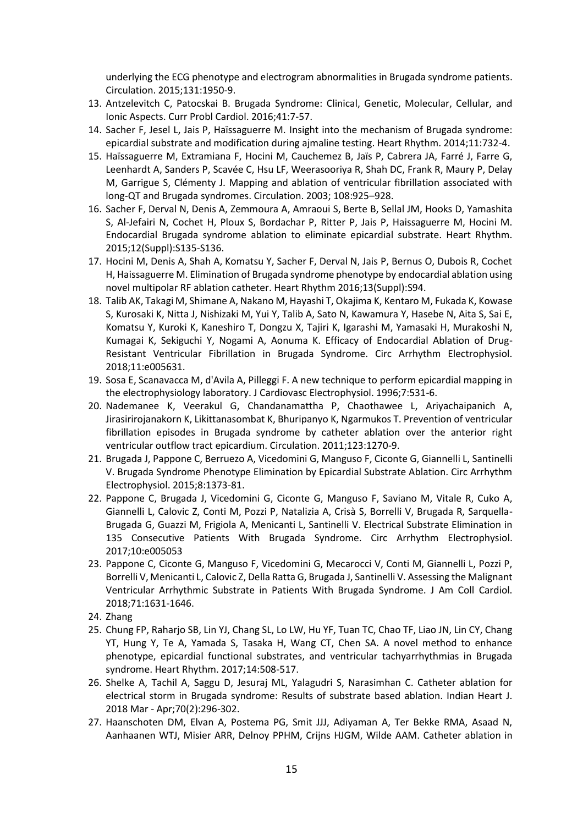underlying the ECG phenotype and electrogram abnormalities in Brugada syndrome patients. Circulation. 2015;131:1950-9.

- 13. Antzelevitch C, Patocskai B. Brugada Syndrome: Clinical, Genetic, Molecular, Cellular, and Ionic Aspects. Curr Probl Cardiol. 2016;41:7-57.
- 14. Sacher F, Jesel L, Jais P, Haïssaguerre M. Insight into the mechanism of Brugada syndrome: epicardial substrate and modification during ajmaline testing. Heart Rhythm. 2014;11:732-4.
- 15. Haïssaguerre M, Extramiana F, Hocini M, Cauchemez B, Jaïs P, Cabrera JA, Farré J, Farre G, Leenhardt A, Sanders P, Scavée C, Hsu LF, Weerasooriya R, Shah DC, Frank R, Maury P, Delay M, Garrigue S, Clémenty J. Mapping and ablation of ventricular fibrillation associated with long-QT and Brugada syndromes. Circulation. 2003; 108:925–928.
- 16. Sacher F, Derval N, Denis A, Zemmoura A, Amraoui S, Berte B, Sellal JM, Hooks D, Yamashita S, Al-Jefairi N, Cochet H, Ploux S, Bordachar P, Ritter P, Jais P, Haissaguerre M, Hocini M. Endocardial Brugada syndrome ablation to eliminate epicardial substrate. Heart Rhythm. 2015;12(Suppl):S135-S136.
- 17. Hocini M, Denis A, Shah A, Komatsu Y, Sacher F, Derval N, Jais P, Bernus O, Dubois R, Cochet H, Haissaguerre M. Elimination of Brugada syndrome phenotype by endocardial ablation using novel multipolar RF ablation catheter. Heart Rhythm 2016;13(Suppl):S94.
- 18. Talib AK, Takagi M, Shimane A, Nakano M, Hayashi T, Okajima K, Kentaro M, Fukada K, Kowase S, Kurosaki K, Nitta J, Nishizaki M, Yui Y, Talib A, Sato N, Kawamura Y, Hasebe N, Aita S, Sai E, Komatsu Y, Kuroki K, Kaneshiro T, Dongzu X, Tajiri K, Igarashi M, Yamasaki H, Murakoshi N, Kumagai K, Sekiguchi Y, Nogami A, Aonuma K. Efficacy of Endocardial Ablation of Drug-Resistant Ventricular Fibrillation in Brugada Syndrome. Circ Arrhythm Electrophysiol. 2018;11:e005631.
- 19. Sosa E, Scanavacca M, d'Avila A, Pilleggi F. A new technique to perform epicardial mapping in the electrophysiology laboratory. J Cardiovasc Electrophysiol. 1996;7:531-6.
- 20. Nademanee K, Veerakul G, Chandanamattha P, Chaothawee L, Ariyachaipanich A, Jirasirirojanakorn K, Likittanasombat K, Bhuripanyo K, Ngarmukos T. Prevention of ventricular fibrillation episodes in Brugada syndrome by catheter ablation over the anterior right ventricular outflow tract epicardium. Circulation. 2011;123:1270-9.
- 21. Brugada J, Pappone C, Berruezo A, Vicedomini G, Manguso F, Ciconte G, Giannelli L, Santinelli V. Brugada Syndrome Phenotype Elimination by Epicardial Substrate Ablation. Circ Arrhythm Electrophysiol. 2015;8:1373-81.
- 22. Pappone C, Brugada J, Vicedomini G, Ciconte G, Manguso F, Saviano M, Vitale R, Cuko A, Giannelli L, Calovic Z, Conti M, Pozzi P, Natalizia A, Crisà S, Borrelli V, Brugada R, Sarquella-Brugada G, Guazzi M, Frigiola A, Menicanti L, Santinelli V. Electrical Substrate Elimination in 135 Consecutive Patients With Brugada Syndrome. Circ Arrhythm Electrophysiol. 2017;10:e005053
- 23. Pappone C, Ciconte G, Manguso F, Vicedomini G, Mecarocci V, Conti M, Giannelli L, Pozzi P, Borrelli V, Menicanti L, Calovic Z, Della Ratta G, Brugada J, Santinelli V. Assessing the Malignant Ventricular Arrhythmic Substrate in Patients With Brugada Syndrome. J Am Coll Cardiol. 2018;71:1631-1646.
- 24. Zhang
- 25. Chung FP, Raharjo SB, Lin YJ, Chang SL, Lo LW, Hu YF, Tuan TC, Chao TF, Liao JN, Lin CY, Chang YT, Hung Y, Te A, Yamada S, Tasaka H, Wang CT, Chen SA. A novel method to enhance phenotype, epicardial functional substrates, and ventricular tachyarrhythmias in Brugada syndrome. Heart Rhythm. 2017;14:508-517.
- 26. Shelke A, Tachil A, Saggu D, Jesuraj ML, Yalagudri S, Narasimhan C. Catheter ablation for electrical storm in Brugada syndrome: Results of substrate based ablation. Indian Heart J. 2018 Mar - Apr;70(2):296-302.
- 27. Haanschoten DM, Elvan A, Postema PG, Smit JJJ, Adiyaman A, Ter Bekke RMA, Asaad N, Aanhaanen WTJ, Misier ARR, Delnoy PPHM, Crijns HJGM, Wilde AAM. Catheter ablation in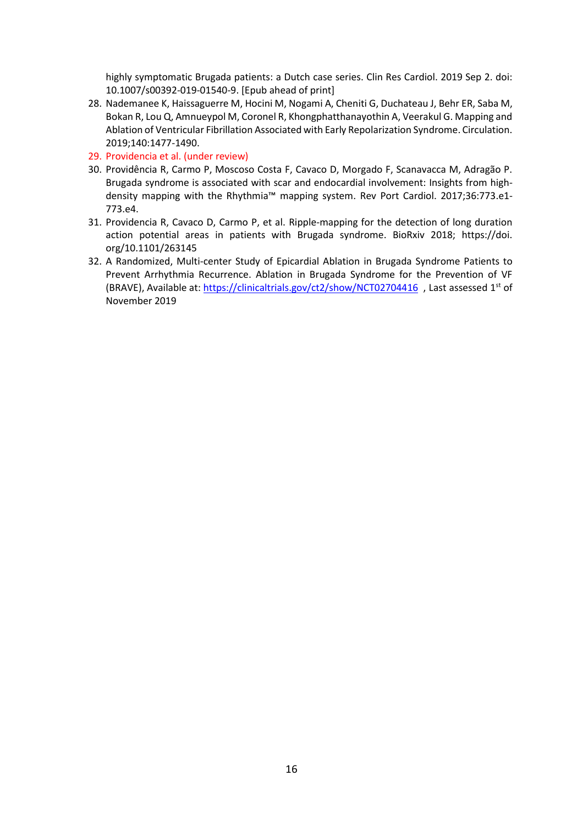highly symptomatic Brugada patients: a Dutch case series. Clin Res Cardiol. 2019 Sep 2. doi: 10.1007/s00392-019-01540-9. [Epub ahead of print]

- 28. Nademanee K, Haissaguerre M, Hocini M, Nogami A, Cheniti G, Duchateau J, Behr ER, Saba M, Bokan R, Lou Q, Amnueypol M, Coronel R, Khongphatthanayothin A, Veerakul G. Mapping and Ablation of Ventricular Fibrillation Associated with Early Repolarization Syndrome. Circulation. 2019;140:1477-1490.
- 29. Providencia et al. (under review)
- 30. Providência R, Carmo P, Moscoso Costa F, Cavaco D, Morgado F, Scanavacca M, Adragão P. Brugada syndrome is associated with scar and endocardial involvement: Insights from highdensity mapping with the Rhythmia™ mapping system. Rev Port Cardiol. 2017;36:773.e1- 773.e4.
- 31. Providencia R, Cavaco D, Carmo P, et al. Ripple-mapping for the detection of long duration action potential areas in patients with Brugada syndrome. BioRxiv 2018; https://doi. org/10.1101/263145
- 32. A Randomized, Multi-center Study of Epicardial Ablation in Brugada Syndrome Patients to Prevent Arrhythmia Recurrence. Ablation in Brugada Syndrome for the Prevention of VF (BRAVE), Available at[: https://clinicaltrials.gov/ct2/show/NCT02704416](https://clinicaltrials.gov/ct2/show/NCT02704416) , Last assessed 1st of November 2019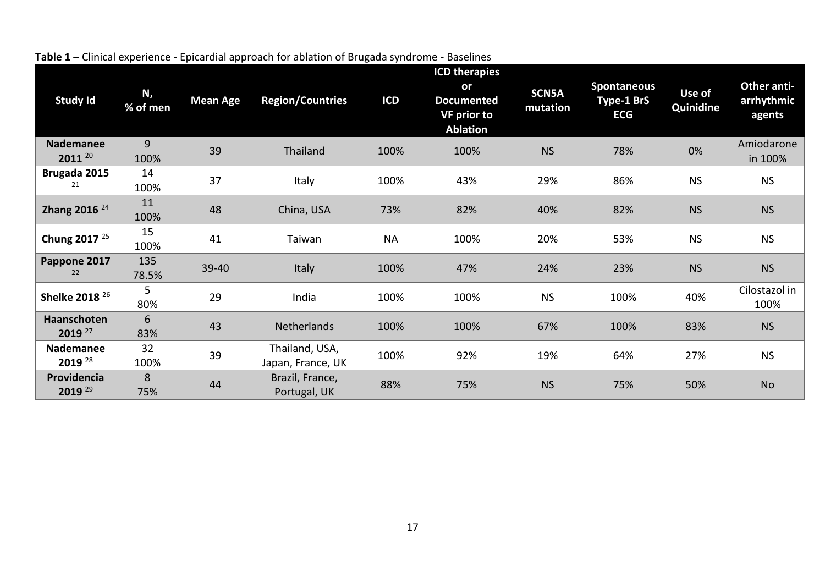| <b>Study Id</b>             | N,<br>% of men | <b>Mean Age</b> | <b>Region/Countries</b>             | <b>ICD</b> | <b>ICD therapies</b><br>or<br><b>Documented</b><br><b>VF prior to</b><br><b>Ablation</b> | <b>SCN5A</b><br>mutation | <b>Spontaneous</b><br><b>Type-1 BrS</b><br><b>ECG</b> | Use of<br>Quinidine | Other anti-<br>arrhythmic<br>agents |
|-----------------------------|----------------|-----------------|-------------------------------------|------------|------------------------------------------------------------------------------------------|--------------------------|-------------------------------------------------------|---------------------|-------------------------------------|
| <b>Nademanee</b><br>2011 20 | 9<br>100%      | 39              | Thailand                            | 100%       | 100%                                                                                     | <b>NS</b>                | 78%                                                   | 0%                  | Amiodarone<br>in 100%               |
| Brugada 2015<br>21          | 14<br>100%     | 37              | Italy                               | 100%       | 43%                                                                                      | 29%                      | 86%                                                   | <b>NS</b>           | <b>NS</b>                           |
| Zhang 2016 <sup>24</sup>    | 11<br>100%     | 48              | China, USA                          | 73%        | 82%                                                                                      | 40%                      | 82%                                                   | <b>NS</b>           | <b>NS</b>                           |
| Chung 2017 <sup>25</sup>    | 15<br>100%     | 41              | Taiwan                              | <b>NA</b>  | 100%                                                                                     | 20%                      | 53%                                                   | <b>NS</b>           | <b>NS</b>                           |
| Pappone 2017<br>22          | 135<br>78.5%   | 39-40           | Italy                               | 100%       | 47%                                                                                      | 24%                      | 23%                                                   | <b>NS</b>           | <b>NS</b>                           |
| Shelke 2018 <sup>26</sup>   | 5<br>80%       | 29              | India                               | 100%       | 100%                                                                                     | <b>NS</b>                | 100%                                                  | 40%                 | Cilostazol in<br>100%               |
| Haanschoten<br>2019 27      | 6<br>83%       | 43              | Netherlands                         | 100%       | 100%                                                                                     | 67%                      | 100%                                                  | 83%                 | <b>NS</b>                           |
| Nademanee<br>2019 28        | 32<br>100%     | 39              | Thailand, USA,<br>Japan, France, UK | 100%       | 92%                                                                                      | 19%                      | 64%                                                   | 27%                 | <b>NS</b>                           |
| Providencia<br>2019 29      | 8<br>75%       | 44              | Brazil, France,<br>Portugal, UK     | 88%        | 75%                                                                                      | <b>NS</b>                | 75%                                                   | 50%                 | <b>No</b>                           |

**Table 1 –** Clinical experience - Epicardial approach for ablation of Brugada syndrome - Baselines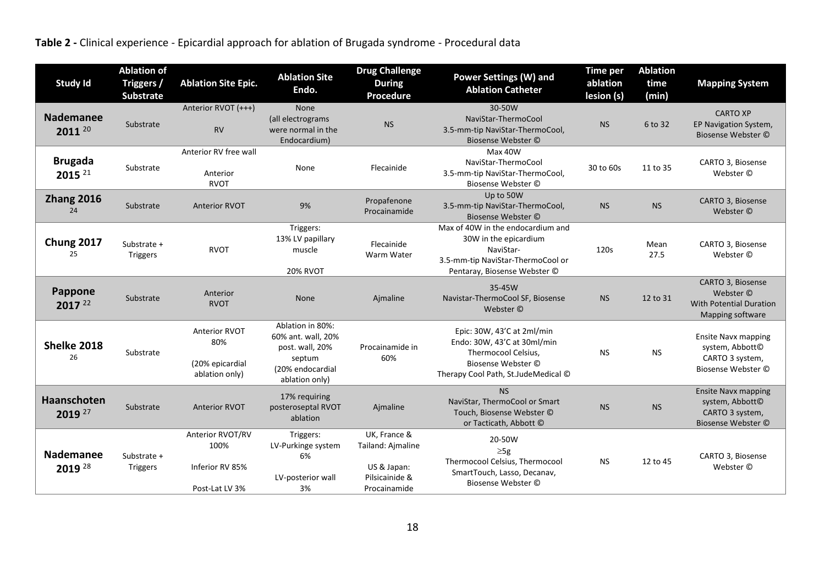**Table 2 -** Clinical experience - Epicardial approach for ablation of Brugada syndrome - Procedural data

| <b>Study Id</b>                   | <b>Ablation of</b><br>Triggers /<br><b>Substrate</b> | <b>Ablation Site Epic.</b>                                       | <b>Ablation Site</b><br>Endo.                                                                             | <b>Drug Challenge</b><br><b>During</b><br>Procedure                                | <b>Power Settings (W) and</b><br><b>Ablation Catheter</b>                                                                                     | <b>Time per</b><br>ablation<br>lesion (s) | <b>Ablation</b><br>time<br>(min) | <b>Mapping System</b>                                                                  |
|-----------------------------------|------------------------------------------------------|------------------------------------------------------------------|-----------------------------------------------------------------------------------------------------------|------------------------------------------------------------------------------------|-----------------------------------------------------------------------------------------------------------------------------------------------|-------------------------------------------|----------------------------------|----------------------------------------------------------------------------------------|
| <b>Nademanee</b><br>2011 20       | Substrate                                            | Anterior RVOT (+++)<br><b>RV</b>                                 | <b>None</b><br>(all electrograms<br>were normal in the<br>Endocardium)                                    | <b>NS</b>                                                                          | 30-50W<br>NaviStar-ThermoCool<br>3.5-mm-tip NaviStar-ThermoCool,<br>Biosense Webster ©                                                        | <b>NS</b>                                 | 6 to 32                          | <b>CARTO XP</b><br>EP Navigation System,<br>Biosense Webster ©                         |
| <b>Brugada</b><br>2015 21         | Substrate                                            | Anterior RV free wall<br>Anterior<br><b>RVOT</b>                 | None                                                                                                      | Flecainide                                                                         | Max 40W<br>NaviStar-ThermoCool<br>3.5-mm-tip NaviStar-ThermoCool,<br>Biosense Webster ©                                                       | 30 to 60s                                 | 11 to 35                         | CARTO 3, Biosense<br>Webster ©                                                         |
| <b>Zhang 2016</b><br>24           | Substrate                                            | <b>Anterior RVOT</b>                                             | 9%                                                                                                        | Propafenone<br>Procainamide                                                        | Up to 50W<br>3.5-mm-tip NaviStar-ThermoCool,<br>Biosense Webster ©                                                                            | <b>NS</b>                                 | <b>NS</b>                        | CARTO 3, Biosense<br>Webster ©                                                         |
| <b>Chung 2017</b><br>25           | Substrate +<br><b>Triggers</b>                       | <b>RVOT</b>                                                      | Triggers:<br>13% LV papillary<br>muscle<br><b>20% RVOT</b>                                                | Flecainide<br>Warm Water                                                           | Max of 40W in the endocardium and<br>30W in the epicardium<br>NaviStar-<br>3.5-mm-tip NaviStar-ThermoCool or<br>Pentaray, Biosense Webster ©  | 120s                                      | Mean<br>27.5                     | CARTO 3, Biosense<br>Webster ©                                                         |
| <b>Pappone</b><br>2017 22         | Substrate                                            | Anterior<br><b>RVOT</b>                                          | <b>None</b>                                                                                               | Ajmaline                                                                           | 35-45W<br>Navistar-ThermoCool SF, Biosense<br>Webster ©                                                                                       | <b>NS</b>                                 | 12 to 31                         | CARTO 3, Biosense<br>Webster ©<br><b>With Potential Duration</b><br>Mapping software   |
| Shelke 2018<br>26                 | Substrate                                            | <b>Anterior RVOT</b><br>80%<br>(20% epicardial<br>ablation only) | Ablation in 80%:<br>60% ant. wall, 20%<br>post. wall, 20%<br>septum<br>(20% endocardial<br>ablation only) | Procainamide in<br>60%                                                             | Epic: 30W, 43'C at 2ml/min<br>Endo: 30W, 43'C at 30ml/min<br>Thermocool Celsius,<br>Biosense Webster ©<br>Therapy Cool Path, St.JudeMedical © | <b>NS</b>                                 | <b>NS</b>                        | <b>Ensite Navx mapping</b><br>system, Abbott©<br>CARTO 3 system,<br>Biosense Webster © |
| Haanschoten<br>2019 <sup>27</sup> | Substrate                                            | <b>Anterior RVOT</b>                                             | 17% requiring<br>posteroseptal RVOT<br>ablation                                                           | Ajmaline                                                                           | <b>NS</b><br>NaviStar, ThermoCool or Smart<br>Touch. Biosense Webster ©<br>or Tacticath, Abbott ©                                             | <b>NS</b>                                 | <b>NS</b>                        | <b>Ensite Navx mapping</b><br>system, Abbott©<br>CARTO 3 system,<br>Biosense Webster © |
| <b>Nademanee</b><br>2019 28       | Substrate +<br>Triggers                              | Anterior RVOT/RV<br>100%<br>Inferior RV 85%<br>Post-Lat LV 3%    | Triggers:<br>LV-Purkinge system<br>6%<br>LV-posterior wall<br>3%                                          | UK, France &<br>Tailand: Ajmaline<br>US & Japan:<br>Pilsicainide &<br>Procainamide | 20-50W<br>$\geq 5g$<br>Thermocool Celsius, Thermocool<br>SmartTouch, Lasso, Decanav,<br>Biosense Webster ©                                    | <b>NS</b>                                 | 12 to 45                         | CARTO 3, Biosense<br>Webster ©                                                         |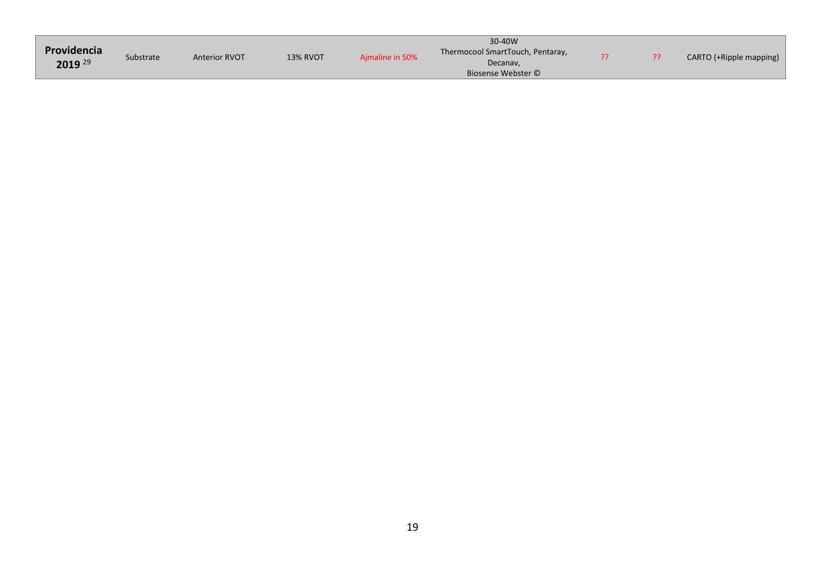| Providencia<br>2019 29 | Substrate | <b>Anterior RVOT</b> | <b>13% RVOT</b> | Aimaline in 50% | 30-40W<br>Thermocool SmartTouch, Pentaray,<br>Decanav,<br>Biosense Webster © |  | CARTO (+Ripple mapping) |
|------------------------|-----------|----------------------|-----------------|-----------------|------------------------------------------------------------------------------|--|-------------------------|
|                        |           |                      |                 |                 |                                                                              |  |                         |